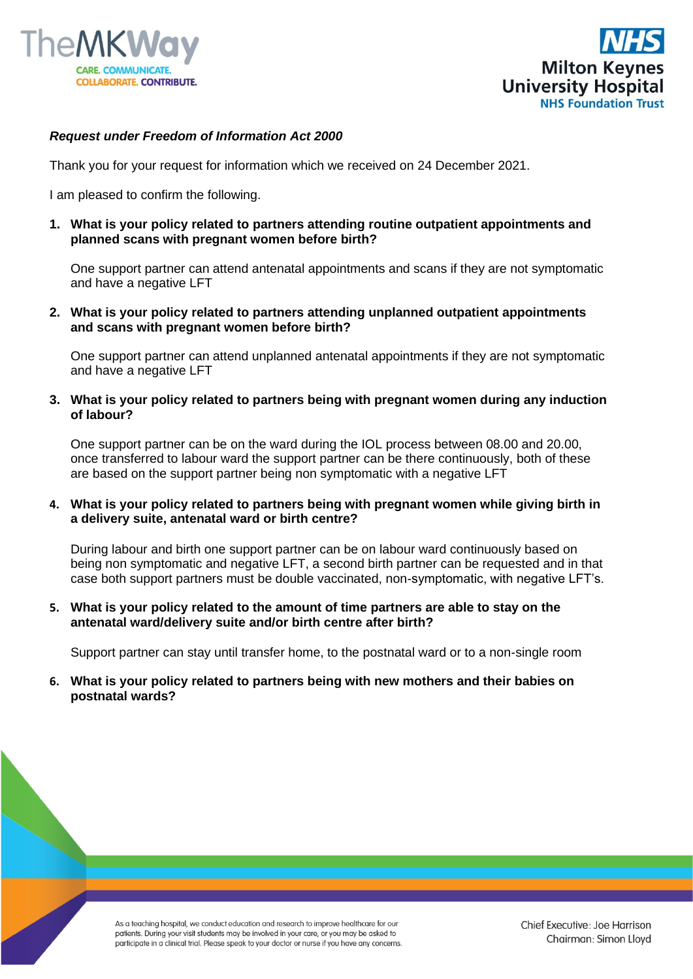



## *Request under Freedom of Information Act 2000*

Thank you for your request for information which we received on 24 December 2021.

I am pleased to confirm the following.

**1. What is your policy related to partners attending routine outpatient appointments and planned scans with pregnant women before birth?**

One support partner can attend antenatal appointments and scans if they are not symptomatic and have a negative LFT

**2. What is your policy related to partners attending unplanned outpatient appointments and scans with pregnant women before birth?**

One support partner can attend unplanned antenatal appointments if they are not symptomatic and have a negative LFT

**3. What is your policy related to partners being with pregnant women during any induction of labour?**

One support partner can be on the ward during the IOL process between 08.00 and 20.00, once transferred to labour ward the support partner can be there continuously, both of these are based on the support partner being non symptomatic with a negative LFT

**4. What is your policy related to partners being with pregnant women while giving birth in a delivery suite, antenatal ward or birth centre?**

During labour and birth one support partner can be on labour ward continuously based on being non symptomatic and negative LFT, a second birth partner can be requested and in that case both support partners must be double vaccinated, non-symptomatic, with negative LFT's.

**5. What is your policy related to the amount of time partners are able to stay on the antenatal ward/delivery suite and/or birth centre after birth?**

Support partner can stay until transfer home, to the postnatal ward or to a non-single room

**6. What is your policy related to partners being with new mothers and their babies on postnatal wards?**

> As a teaching hospital, we conduct education and research to improve healthcare for our patients. During your visit students may be involved in your care, or you may be asked to participate in a clinical trial. Please speak to your doctor or nurse if you have any concerns.